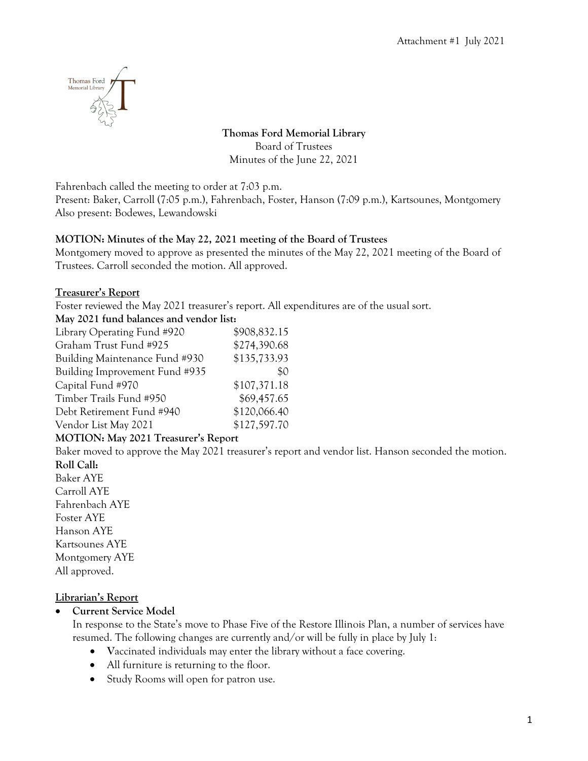

**Thomas Ford Memorial Library** Board of Trustees Minutes of the June 22, 2021

Fahrenbach called the meeting to order at 7:03 p.m.

Present: Baker, Carroll (7:05 p.m.), Fahrenbach, Foster, Hanson (7:09 p.m.), Kartsounes, Montgomery Also present: Bodewes, Lewandowski

#### **MOTION: Minutes of the May 22, 2021 meeting of the Board of Trustees**

Montgomery moved to approve as presented the minutes of the May 22, 2021 meeting of the Board of Trustees. Carroll seconded the motion. All approved.

#### **Treasurer's Report**

Foster reviewed the May 2021 treasurer's report. All expenditures are of the usual sort.

#### **May 2021 fund balances and vendor list:**

| Library Operating Fund #920    | \$908,832.15 |
|--------------------------------|--------------|
| Graham Trust Fund #925         | \$274,390.68 |
| Building Maintenance Fund #930 | \$135,733.93 |
| Building Improvement Fund #935 | \$0          |
| Capital Fund #970              | \$107,371.18 |
| Timber Trails Fund #950        | \$69,457.65  |
| Debt Retirement Fund #940      | \$120,066.40 |
| Vendor List May 2021           | \$127,597.70 |
|                                |              |

## **MOTION: May 2021 Treasurer's Report**

Baker moved to approve the May 2021 treasurer's report and vendor list. Hanson seconded the motion. **Roll Call:**

Baker AYE Carroll AYE Fahrenbach AYE Foster AYE Hanson AYE Kartsounes AYE Montgomery AYE All approved.

#### **Librarian's Report**

• **Current Service Model**

In response to the State's move to Phase Five of the Restore Illinois Plan, a number of services have resumed. The following changes are currently and/or will be fully in place by July 1:

- **V**accinated individuals may enter the library without a face covering.
- All furniture is returning to the floor.
- Study Rooms will open for patron use.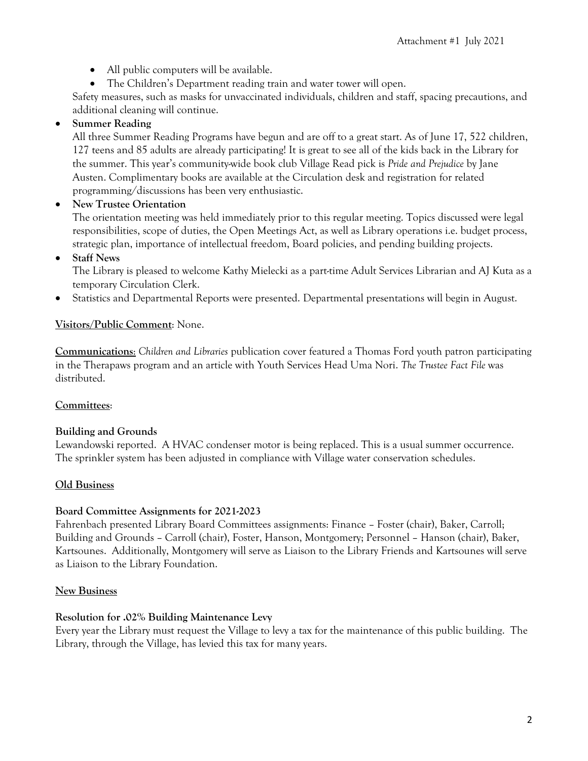- All public computers will be available.
- The Children's Department reading train and water tower will open.

Safety measures, such as masks for unvaccinated individuals, children and staff, spacing precautions, and additional cleaning will continue.

# • **Summer Reading**

All three Summer Reading Programs have begun and are off to a great start. As of June 17, 522 children, 127 teens and 85 adults are already participating! It is great to see all of the kids back in the Library for the summer. This year's community-wide book club Village Read pick is *Pride and Prejudice* by Jane Austen. Complimentary books are available at the Circulation desk and registration for related programming/discussions has been very enthusiastic.

## • **New Trustee Orientation**

The orientation meeting was held immediately prior to this regular meeting. Topics discussed were legal responsibilities, scope of duties, the Open Meetings Act, as well as Library operations i.e. budget process, strategic plan, importance of intellectual freedom, Board policies, and pending building projects.

# • **Staff News**

The Library is pleased to welcome Kathy Mielecki as a part-time Adult Services Librarian and AJ Kuta as a temporary Circulation Clerk.

• Statistics and Departmental Reports were presented. Departmental presentations will begin in August.

# **Visitors/Public Comment**: None.

**Communications**: *Children and Libraries* publication cover featured a Thomas Ford youth patron participating in the Therapaws program and an article with Youth Services Head Uma Nori. *The Trustee Fact File* was distributed.

## **Committees**:

## **Building and Grounds**

Lewandowski reported. A HVAC condenser motor is being replaced. This is a usual summer occurrence. The sprinkler system has been adjusted in compliance with Village water conservation schedules.

## **Old Business**

## **Board Committee Assignments for 2021-2023**

Fahrenbach presented Library Board Committees assignments: Finance – Foster (chair), Baker, Carroll; Building and Grounds – Carroll (chair), Foster, Hanson, Montgomery; Personnel – Hanson (chair), Baker, Kartsounes. Additionally, Montgomery will serve as Liaison to the Library Friends and Kartsounes will serve as Liaison to the Library Foundation.

## **New Business**

## **Resolution for .02% Building Maintenance Levy**

Every year the Library must request the Village to levy a tax for the maintenance of this public building. The Library, through the Village, has levied this tax for many years.